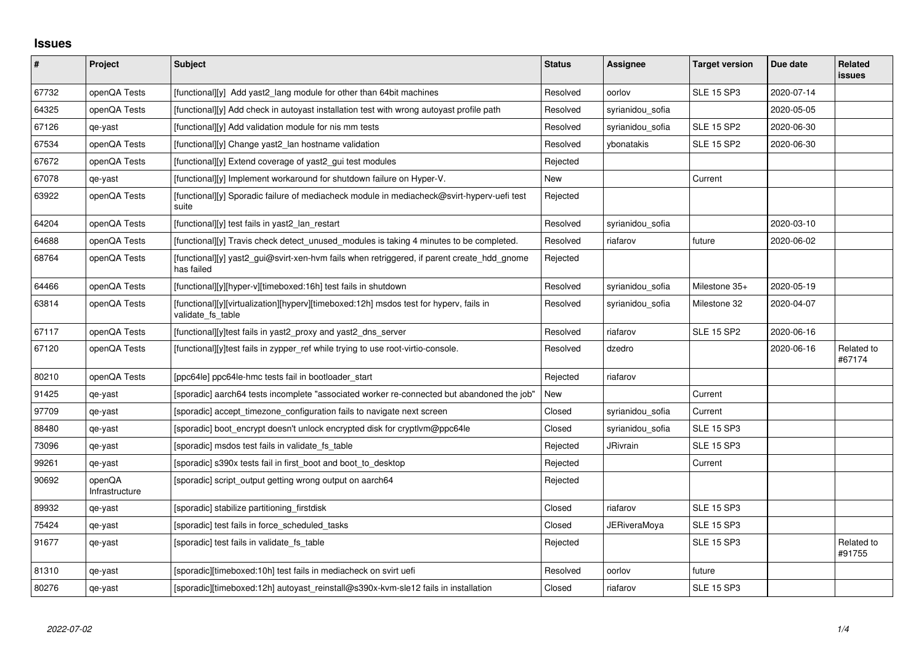## **Issues**

| $\sharp$ | Project                  | <b>Subject</b>                                                                                              | <b>Status</b> | Assignee            | <b>Target version</b> | Due date   | Related<br><b>issues</b> |
|----------|--------------------------|-------------------------------------------------------------------------------------------------------------|---------------|---------------------|-----------------------|------------|--------------------------|
| 67732    | openQA Tests             | [functional][y] Add yast2 lang module for other than 64bit machines                                         | Resolved      | oorlov              | <b>SLE 15 SP3</b>     | 2020-07-14 |                          |
| 64325    | openQA Tests             | [functional][y] Add check in autoyast installation test with wrong autoyast profile path                    | Resolved      | syrianidou_sofia    |                       | 2020-05-05 |                          |
| 67126    | qe-yast                  | [functional][y] Add validation module for nis mm tests                                                      | Resolved      | syrianidou_sofia    | <b>SLE 15 SP2</b>     | 2020-06-30 |                          |
| 67534    | openQA Tests             | [functional][y] Change yast2 lan hostname validation                                                        | Resolved      | ybonatakis          | <b>SLE 15 SP2</b>     | 2020-06-30 |                          |
| 67672    | openQA Tests             | [functional][y] Extend coverage of yast2_gui test modules                                                   | Rejected      |                     |                       |            |                          |
| 67078    | qe-yast                  | [functional][y] Implement workaround for shutdown failure on Hyper-V.                                       | New           |                     | Current               |            |                          |
| 63922    | openQA Tests             | [functional][y] Sporadic failure of mediacheck module in mediacheck@svirt-hyperv-uefi test<br>suite         | Rejected      |                     |                       |            |                          |
| 64204    | openQA Tests             | [functional][y] test fails in yast2_lan_restart                                                             | Resolved      | syrianidou_sofia    |                       | 2020-03-10 |                          |
| 64688    | openQA Tests             | [functional][y] Travis check detect_unused_modules is taking 4 minutes to be completed.                     | Resolved      | riafarov            | future                | 2020-06-02 |                          |
| 68764    | openQA Tests             | [functional][y] yast2_gui@svirt-xen-hvm fails when retriggered, if parent create_hdd_gnome<br>has failed    | Rejected      |                     |                       |            |                          |
| 64466    | openQA Tests             | [functional][y][hyper-v][timeboxed:16h] test fails in shutdown                                              | Resolved      | syrianidou_sofia    | Milestone 35+         | 2020-05-19 |                          |
| 63814    | openQA Tests             | [functional][y][virtualization][hyperv][timeboxed:12h] msdos test for hyperv, fails in<br>validate fs table | Resolved      | syrianidou sofia    | Milestone 32          | 2020-04-07 |                          |
| 67117    | openQA Tests             | [functional][y]test fails in yast2 proxy and yast2 dns server                                               | Resolved      | riafarov            | <b>SLE 15 SP2</b>     | 2020-06-16 |                          |
| 67120    | openQA Tests             | [functional][y]test fails in zypper_ref while trying to use root-virtio-console.                            | Resolved      | dzedro              |                       | 2020-06-16 | Related to<br>#67174     |
| 80210    | openQA Tests             | [ppc64le] ppc64le-hmc tests fail in bootloader_start                                                        | Rejected      | riafarov            |                       |            |                          |
| 91425    | qe-yast                  | [sporadic] aarch64 tests incomplete "associated worker re-connected but abandoned the job"                  | New           |                     | Current               |            |                          |
| 97709    | qe-yast                  | [sporadic] accept_timezone_configuration fails to navigate next screen                                      | Closed        | syrianidou_sofia    | Current               |            |                          |
| 88480    | qe-yast                  | [sporadic] boot encrypt doesn't unlock encrypted disk for cryptlym@ppc64le                                  | Closed        | syrianidou sofia    | <b>SLE 15 SP3</b>     |            |                          |
| 73096    | qe-yast                  | [sporadic] msdos test fails in validate_fs_table                                                            | Rejected      | <b>JRivrain</b>     | <b>SLE 15 SP3</b>     |            |                          |
| 99261    | qe-yast                  | [sporadic] s390x tests fail in first_boot and boot_to_desktop                                               | Rejected      |                     | Current               |            |                          |
| 90692    | openQA<br>Infrastructure | [sporadic] script_output getting wrong output on aarch64                                                    | Rejected      |                     |                       |            |                          |
| 89932    | qe-yast                  | [sporadic] stabilize partitioning_firstdisk                                                                 | Closed        | riafarov            | <b>SLE 15 SP3</b>     |            |                          |
| 75424    | qe-yast                  | [sporadic] test fails in force_scheduled_tasks                                                              | Closed        | <b>JERiveraMoya</b> | <b>SLE 15 SP3</b>     |            |                          |
| 91677    | qe-yast                  | [sporadic] test fails in validate_fs_table                                                                  | Rejected      |                     | <b>SLE 15 SP3</b>     |            | Related to<br>#91755     |
| 81310    | qe-yast                  | [sporadic][timeboxed:10h] test fails in mediacheck on svirt uefi                                            | Resolved      | oorlov              | future                |            |                          |
| 80276    | qe-yast                  | [sporadic][timeboxed:12h] autoyast reinstall@s390x-kvm-sle12 fails in installation                          | Closed        | riafarov            | <b>SLE 15 SP3</b>     |            |                          |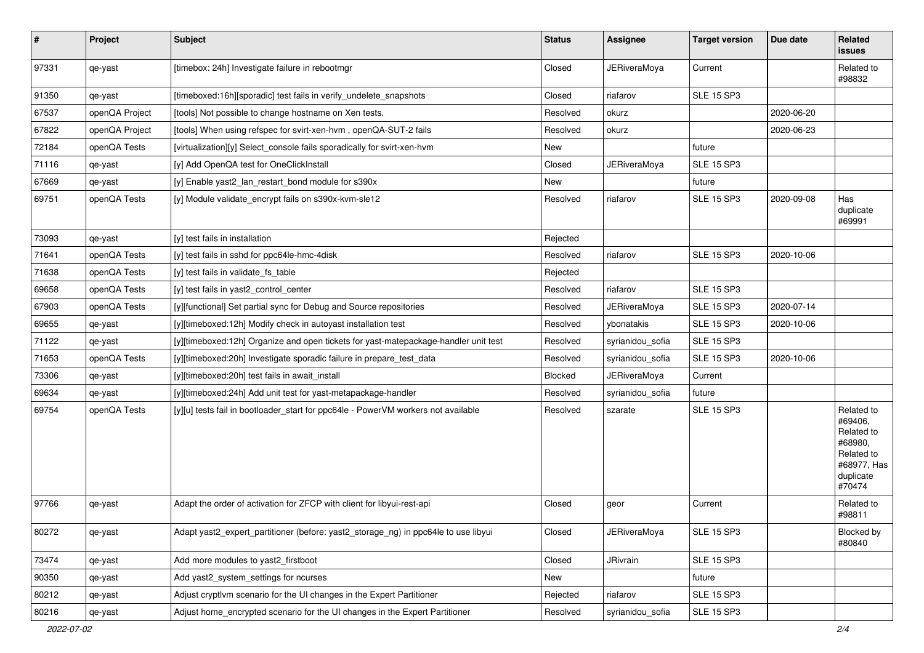| $\vert$ # | Project        | Subject                                                                             | <b>Status</b> | Assignee            | <b>Target version</b> | Due date   | Related<br><b>issues</b>                                                                           |
|-----------|----------------|-------------------------------------------------------------------------------------|---------------|---------------------|-----------------------|------------|----------------------------------------------------------------------------------------------------|
| 97331     | qe-yast        | [timebox: 24h] Investigate failure in rebootmgr                                     | Closed        | <b>JERiveraMoya</b> | Current               |            | Related to<br>#98832                                                                               |
| 91350     | qe-yast        | [timeboxed:16h][sporadic] test fails in verify_undelete_snapshots                   | Closed        | riafarov            | <b>SLE 15 SP3</b>     |            |                                                                                                    |
| 67537     | openQA Project | [tools] Not possible to change hostname on Xen tests.                               | Resolved      | okurz               |                       | 2020-06-20 |                                                                                                    |
| 67822     | openQA Project | [tools] When using refspec for svirt-xen-hvm, openQA-SUT-2 fails                    | Resolved      | okurz               |                       | 2020-06-23 |                                                                                                    |
| 72184     | openQA Tests   | [virtualization][y] Select console fails sporadically for svirt-xen-hym             | New           |                     | future                |            |                                                                                                    |
| 71116     | qe-yast        | [y] Add OpenQA test for OneClickInstall                                             | Closed        | <b>JERiveraMoya</b> | SLE 15 SP3            |            |                                                                                                    |
| 67669     | qe-yast        | [y] Enable yast2_lan_restart_bond module for s390x                                  | New           |                     | future                |            |                                                                                                    |
| 69751     | openQA Tests   | [y] Module validate_encrypt fails on s390x-kvm-sle12                                | Resolved      | riafarov            | <b>SLE 15 SP3</b>     | 2020-09-08 | Has<br>duplicate<br>#69991                                                                         |
| 73093     | qe-yast        | [y] test fails in installation                                                      | Rejected      |                     |                       |            |                                                                                                    |
| 71641     | openQA Tests   | [y] test fails in sshd for ppc64le-hmc-4disk                                        | Resolved      | riafarov            | <b>SLE 15 SP3</b>     | 2020-10-06 |                                                                                                    |
| 71638     | openQA Tests   | [y] test fails in validate_fs_table                                                 | Rejected      |                     |                       |            |                                                                                                    |
| 69658     | openQA Tests   | [y] test fails in yast2 control center                                              | Resolved      | riafarov            | <b>SLE 15 SP3</b>     |            |                                                                                                    |
| 67903     | openQA Tests   | [y][functional] Set partial sync for Debug and Source repositories                  | Resolved      | <b>JERiveraMoya</b> | <b>SLE 15 SP3</b>     | 2020-07-14 |                                                                                                    |
| 69655     | qe-yast        | [y][timeboxed:12h] Modify check in autoyast installation test                       | Resolved      | ybonatakis          | <b>SLE 15 SP3</b>     | 2020-10-06 |                                                                                                    |
| 71122     | qe-yast        | [y][timeboxed:12h] Organize and open tickets for yast-matepackage-handler unit test | Resolved      | syrianidou sofia    | <b>SLE 15 SP3</b>     |            |                                                                                                    |
| 71653     | openQA Tests   | [y][timeboxed:20h] Investigate sporadic failure in prepare_test_data                | Resolved      | syrianidou_sofia    | <b>SLE 15 SP3</b>     | 2020-10-06 |                                                                                                    |
| 73306     | qe-yast        | [y][timeboxed:20h] test fails in await_install                                      | Blocked       | <b>JERiveraMoya</b> | Current               |            |                                                                                                    |
| 69634     | qe-yast        | [y][timeboxed:24h] Add unit test for yast-metapackage-handler                       | Resolved      | syrianidou sofia    | future                |            |                                                                                                    |
| 69754     | openQA Tests   | [y][u] tests fail in bootloader_start for ppc64le - PowerVM workers not available   | Resolved      | szarate             | <b>SLE 15 SP3</b>     |            | Related to<br>#69406.<br>Related to<br>#68980,<br>Related to<br>#68977, Has<br>duplicate<br>#70474 |
| 97766     | qe-yast        | Adapt the order of activation for ZFCP with client for libyui-rest-api              | Closed        | geor                | Current               |            | Related to<br>#98811                                                                               |
| 80272     | qe-yast        | Adapt yast2_expert_partitioner (before: yast2_storage_ng) in ppc64le to use libyui  | Closed        | <b>JERiveraMoya</b> | <b>SLE 15 SP3</b>     |            | Blocked by<br>#80840                                                                               |
| 73474     | qe-yast        | Add more modules to yast2_firstboot                                                 | Closed        | JRivrain            | <b>SLE 15 SP3</b>     |            |                                                                                                    |
| 90350     | qe-yast        | Add yast2_system_settings for ncurses                                               | New           |                     | future                |            |                                                                                                    |
| 80212     | qe-yast        | Adjust cryptlvm scenario for the UI changes in the Expert Partitioner               | Rejected      | riafarov            | <b>SLE 15 SP3</b>     |            |                                                                                                    |
| 80216     | qe-yast        | Adjust home_encrypted scenario for the UI changes in the Expert Partitioner         | Resolved      | syrianidou_sofia    | <b>SLE 15 SP3</b>     |            |                                                                                                    |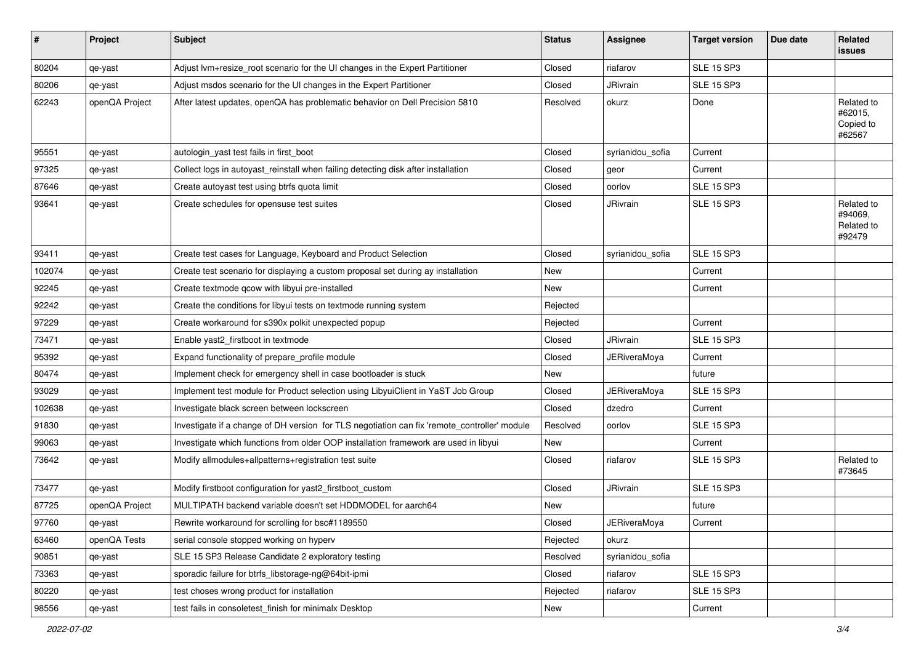| #      | Project        | <b>Subject</b>                                                                               | <b>Status</b> | Assignee            | <b>Target version</b> | Due date | Related<br>issues                             |
|--------|----------------|----------------------------------------------------------------------------------------------|---------------|---------------------|-----------------------|----------|-----------------------------------------------|
| 80204  | qe-yast        | Adjust lvm+resize_root scenario for the UI changes in the Expert Partitioner                 | Closed        | riafarov            | <b>SLE 15 SP3</b>     |          |                                               |
| 80206  | qe-yast        | Adjust msdos scenario for the UI changes in the Expert Partitioner                           | Closed        | JRivrain            | <b>SLE 15 SP3</b>     |          |                                               |
| 62243  | openQA Project | After latest updates, openQA has problematic behavior on Dell Precision 5810                 | Resolved      | okurz               | Done                  |          | Related to<br>#62015,<br>Copied to<br>#62567  |
| 95551  | qe-yast        | autologin_yast test fails in first_boot                                                      | Closed        | syrianidou_sofia    | Current               |          |                                               |
| 97325  | qe-yast        | Collect logs in autoyast_reinstall when failing detecting disk after installation            | Closed        | geor                | Current               |          |                                               |
| 87646  | qe-yast        | Create autoyast test using btrfs quota limit                                                 | Closed        | oorlov              | <b>SLE 15 SP3</b>     |          |                                               |
| 93641  | qe-yast        | Create schedules for opensuse test suites                                                    | Closed        | JRivrain            | <b>SLE 15 SP3</b>     |          | Related to<br>#94069,<br>Related to<br>#92479 |
| 93411  | qe-yast        | Create test cases for Language, Keyboard and Product Selection                               | Closed        | syrianidou_sofia    | <b>SLE 15 SP3</b>     |          |                                               |
| 102074 | qe-yast        | Create test scenario for displaying a custom proposal set during ay installation             | New           |                     | Current               |          |                                               |
| 92245  | qe-yast        | Create textmode qcow with libyui pre-installed                                               | New           |                     | Current               |          |                                               |
| 92242  | qe-yast        | Create the conditions for libyui tests on textmode running system                            | Rejected      |                     |                       |          |                                               |
| 97229  | qe-yast        | Create workaround for s390x polkit unexpected popup                                          | Rejected      |                     | Current               |          |                                               |
| 73471  | qe-yast        | Enable yast2_firstboot in textmode                                                           | Closed        | JRivrain            | <b>SLE 15 SP3</b>     |          |                                               |
| 95392  | qe-yast        | Expand functionality of prepare_profile module                                               | Closed        | <b>JERiveraMoya</b> | Current               |          |                                               |
| 80474  | qe-yast        | Implement check for emergency shell in case bootloader is stuck                              | New           |                     | future                |          |                                               |
| 93029  | qe-yast        | Implement test module for Product selection using LibyuiClient in YaST Job Group             | Closed        | <b>JERiveraMoya</b> | <b>SLE 15 SP3</b>     |          |                                               |
| 102638 | qe-yast        | Investigate black screen between lockscreen                                                  | Closed        | dzedro              | Current               |          |                                               |
| 91830  | qe-yast        | Investigate if a change of DH version for TLS negotiation can fix 'remote_controller' module | Resolved      | oorlov              | <b>SLE 15 SP3</b>     |          |                                               |
| 99063  | qe-yast        | Investigate which functions from older OOP installation framework are used in libyui         | New           |                     | Current               |          |                                               |
| 73642  | qe-yast        | Modify allmodules+allpatterns+registration test suite                                        | Closed        | riafarov            | <b>SLE 15 SP3</b>     |          | Related to<br>#73645                          |
| 73477  | qe-yast        | Modify firstboot configuration for yast2_firstboot_custom                                    | Closed        | JRivrain            | <b>SLE 15 SP3</b>     |          |                                               |
| 87725  | openQA Project | MULTIPATH backend variable doesn't set HDDMODEL for aarch64                                  | New           |                     | future                |          |                                               |
| 97760  | qe-yast        | Rewrite workaround for scrolling for bsc#1189550                                             | Closed        | <b>JERiveraMoya</b> | Current               |          |                                               |
| 63460  | openQA Tests   | serial console stopped working on hyperv                                                     | Rejected      | okurz               |                       |          |                                               |
| 90851  | qe-yast        | SLE 15 SP3 Release Candidate 2 exploratory testing                                           | Resolved      | syrianidou_sofia    |                       |          |                                               |
| 73363  | qe-yast        | sporadic failure for btrfs libstorage-ng@64bit-ipmi                                          | Closed        | riafarov            | <b>SLE 15 SP3</b>     |          |                                               |
| 80220  | qe-yast        | test choses wrong product for installation                                                   | Rejected      | riafarov            | <b>SLE 15 SP3</b>     |          |                                               |
| 98556  | qe-yast        | test fails in consoletest_finish for minimalx Desktop                                        | New           |                     | Current               |          |                                               |